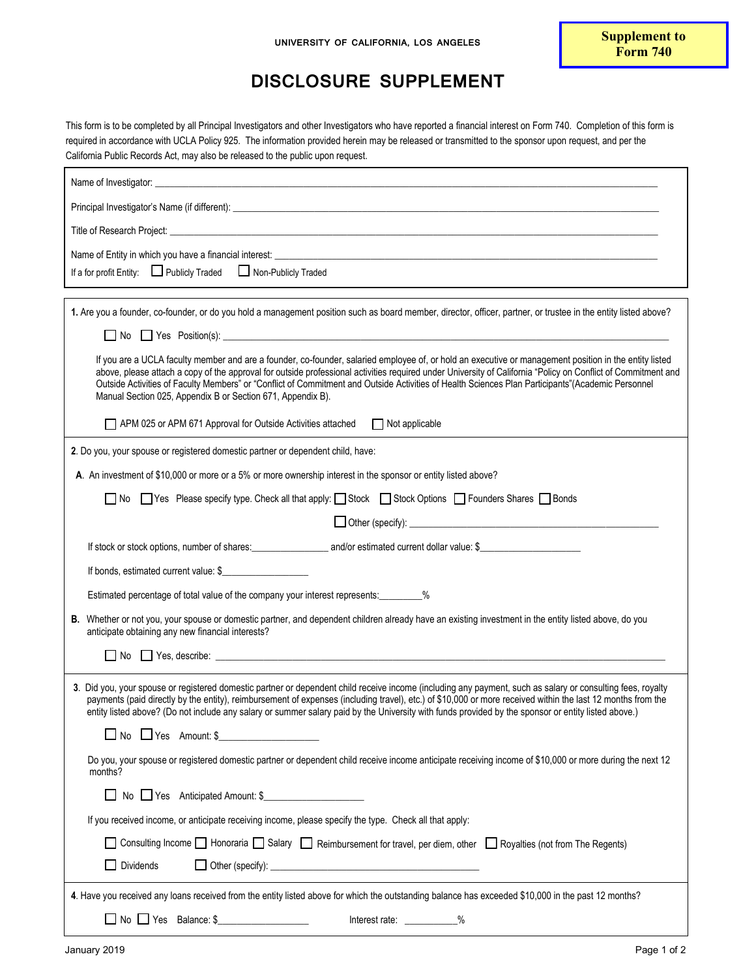## **DISCLOSURE SUPPLEMENT**

This form is to be completed by all Principal Investigators and other Investigators who have reported a financial interest on Form 740. Completion of this form is required in accordance with UCLA Policy 925. The information provided herein may be released or transmitted to the sponsor upon request, and per the California Public Records Act, may also be released to the public upon request.

| Title of Research Project: www.communication.com/www.communication.com/www.communication.com/www.com                                                                                                                                                                                                                                                                                                                                                                              |
|-----------------------------------------------------------------------------------------------------------------------------------------------------------------------------------------------------------------------------------------------------------------------------------------------------------------------------------------------------------------------------------------------------------------------------------------------------------------------------------|
|                                                                                                                                                                                                                                                                                                                                                                                                                                                                                   |
| If a for profit Entity: □ Publicly Traded □ Non-Publicly Traded                                                                                                                                                                                                                                                                                                                                                                                                                   |
| 1. Are you a founder, co-founder, or do you hold a management position such as board member, director, officer, partner, or trustee in the entity listed above?                                                                                                                                                                                                                                                                                                                   |
| $\Box$ No $\Box$ Yes Position(s): $\Box$                                                                                                                                                                                                                                                                                                                                                                                                                                          |
| If you are a UCLA faculty member and are a founder, co-founder, salaried employee of, or hold an executive or management position in the entity listed                                                                                                                                                                                                                                                                                                                            |
| above, please attach a copy of the approval for outside professional activities required under University of California "Policy on Conflict of Commitment and<br>Outside Activities of Faculty Members" or "Conflict of Commitment and Outside Activities of Health Sciences Plan Participants"(Academic Personnel<br>Manual Section 025, Appendix B or Section 671, Appendix B).                                                                                                 |
| APM 025 or APM 671 Approval for Outside Activities attached Not applicable                                                                                                                                                                                                                                                                                                                                                                                                        |
| 2. Do you, your spouse or registered domestic partner or dependent child, have:                                                                                                                                                                                                                                                                                                                                                                                                   |
| A. An investment of \$10,000 or more or a 5% or more ownership interest in the sponsor or entity listed above?                                                                                                                                                                                                                                                                                                                                                                    |
| No Tyes Please specify type. Check all that apply: Stock Stock Options T Founders Shares T Bonds                                                                                                                                                                                                                                                                                                                                                                                  |
|                                                                                                                                                                                                                                                                                                                                                                                                                                                                                   |
|                                                                                                                                                                                                                                                                                                                                                                                                                                                                                   |
| If bonds, estimated current value: \$                                                                                                                                                                                                                                                                                                                                                                                                                                             |
| Estimated percentage of total value of the company your interest represents: _________%                                                                                                                                                                                                                                                                                                                                                                                           |
| B. Whether or not you, your spouse or domestic partner, and dependent children already have an existing investment in the entity listed above, do you<br>anticipate obtaining any new financial interests?                                                                                                                                                                                                                                                                        |
| $\Box$ No $\Box$ Yes, describe: $\Box$                                                                                                                                                                                                                                                                                                                                                                                                                                            |
| 3. Did you, your spouse or registered domestic partner or dependent child receive income (including any payment, such as salary or consulting fees, royalty<br>payments (paid directly by the entity), reimbursement of expenses (including travel), etc.) of \$10,000 or more received within the last 12 months from the<br>entity listed above? (Do not include any salary or summer salary paid by the University with funds provided by the sponsor or entity listed above.) |
| $\Box$ No $\Box$ Yes Amount: \$                                                                                                                                                                                                                                                                                                                                                                                                                                                   |
| Do you, your spouse or registered domestic partner or dependent child receive income anticipate receiving income of \$10,000 or more during the next 12<br>months?                                                                                                                                                                                                                                                                                                                |
| ■ No ■ Yes Anticipated Amount: \$                                                                                                                                                                                                                                                                                                                                                                                                                                                 |
| If you received income, or anticipate receiving income, please specify the type. Check all that apply:                                                                                                                                                                                                                                                                                                                                                                            |
| Consulting Income $\Box$ Honoraria $\Box$ Salary $\Box$ Reimbursement for travel, per diem, other $\Box$ Royalties (not from The Regents)                                                                                                                                                                                                                                                                                                                                         |
| Dividends                                                                                                                                                                                                                                                                                                                                                                                                                                                                         |
| 4. Have you received any loans received from the entity listed above for which the outstanding balance has exceeded \$10,000 in the past 12 months?                                                                                                                                                                                                                                                                                                                               |
| No Yes Balance: \$<br>Interest rate: __________%                                                                                                                                                                                                                                                                                                                                                                                                                                  |